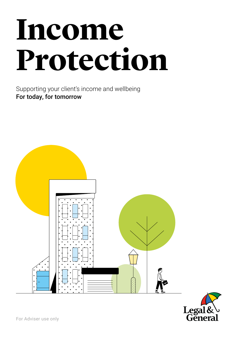# **Income Protection**

Supporting your client's income and wellbeing For today, for tomorrow



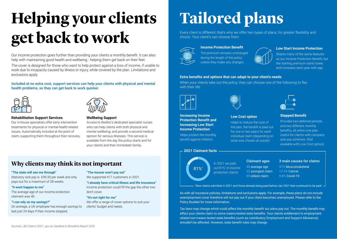## **Helping your clients get back to work**

Our income protection goes further than providing your clients a monthly benefit. It can also help with maintaining good health and wellbeing - helping them get back on their feet.

The cover is designed for those who want to help protect against a loss of income, if unable to work due to incapacity caused by illness or injury, while covered by the plan. Limitations and exclusions apply.

#### Included at no extra cost, support services can help your clients with physical and mental health problems, so they can get back to work quicker.





#### **Rehabilitation Support Services**

Our in-house specialists offer early intervention treatments for physical or mental-health related issues. Automatically included at the point of claim, supporting them throughout their recovery.



#### **Wellbeing Support**

Access to RedArc's dedicated specialist nurses who can help clients with both physical and mental wellbeing, and provide a second medical opinion for serious illnesses. This service is available from the day the policy starts and for your clients and their immediate family.

## **Why clients may think its not important**

#### **"The state will see me through"**

Statutory sick pay is £99.35 per week and only pays out for a maximum of 28 weeks.

#### **"It wont happen to me"**

The average age of our income protection claimant was 40.

#### **"I can rely on my savings?"**

On average, a UK employee has enough savings to last just 24 days if their income stopped.

#### **"The insurer won't pay out"**

We supported 417 customers in 2021.

**"I already have critical illness and life Insurance"** Income protection could fill the gap the other two don't cover.

#### **"It's not right for me"**

We offer a range of cover options to suit your clients' budget and needs.

## **Tailored plans**

Every client is different, that's why we offer two types of plans, for greater flexibility and choice. Your client's can choose from:



#### **Income Protection Benefit**

The premium remains unchanged during the length of the policy unless they make any changes.



Shares many of the same features as our Income Protection Benefit, but the starting premium starts lower, and increases each year with age.

#### **Extra benefits and options that can adapt to your client's needs**

When your clients take out the policy, they can choose one of the following to flex with their life.



**Increasing Income Protection Benefit and Increasing Low Start Income Protection** Helps protect the monthly benefit against inflation.



#### **Low Cost option**

Helps to reduce the cost of the plan, the benefit is paid out for one or two years for each individual claim (depending on what was chosen at outset).

#### **Stepped Benefit**

Provides two deferred periods, and two different monthly benefits, all within one plan. Useful for clients with company sick pay schemes. (Not available with Low Cost option)

#### **2021 Claimant facts**

81%\*

### In 2021 we paid out 81%\* in income protection claims

**Claimant ages** 40 average age 22 youngest claim 69 oldest claim

**3 main causes for claims**

37% Musculoskeletal 12.5% Cancer 9.8% Covid-19

\* New claims admitted in 2021 and those already being paid before Jan 2021 that continued to be paid.

As with all insurance policies, limitations and exclusions apply. For example, these plans do not include unemployment cover therefore will not pay out if your client becomes unemployed. Please refer to the Policy Booklet for more information.

Tax laws may change which could affect the monthly benefit our plans pay out. The monthly benefit may affect your clients claim to some means-tested state benefits. Your clients entitlement to employment related non-means tested state benefits (such as contributory Employment and Support Allowance) shouldn't be affected. However, state benefit rules may change.